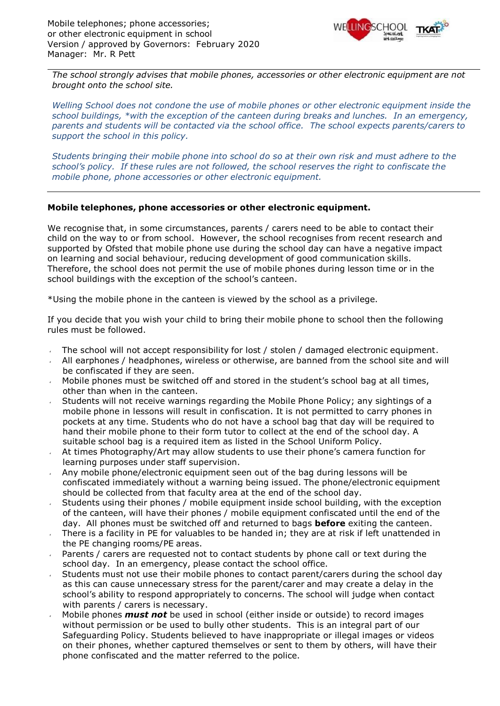

*The school strongly advises that mobile phones, accessories or other electronic equipment are not brought onto the school site.*

*Welling School does not condone the use of mobile phones or other electronic equipment inside the school buildings, \*with the exception of the canteen during breaks and lunches. In an emergency, parents and students will be contacted via the school office. The school expects parents/carers to support the school in this policy.*

*Students bringing their mobile phone into school do so at their own risk and must adhere to the school's policy. If these rules are not followed, the school reserves the right to confiscate the mobile phone, phone accessories or other electronic equipment.*

## **Mobile telephones, phone accessories or other electronic equipment.**

We recognise that, in some circumstances, parents / carers need to be able to contact their child on the way to or from school. However, the school recognises from recent research and supported by Ofsted that mobile phone use during the school day can have a negative impact on learning and social behaviour, reducing development of good communication skills. Therefore, the school does not permit the use of mobile phones during lesson time or in the school buildings with the exception of the school's canteen.

\*Using the mobile phone in the canteen is viewed by the school as a privilege.

If you decide that you wish your child to bring their mobile phone to school then the following rules must be followed.

- The school will not accept responsibility for lost / stolen / damaged electronic equipment.
- All earphones / headphones, wireless or otherwise, are banned from the school site and will be confiscated if they are seen.
- Mobile phones must be switched off and stored in the student's school bag at all times, other than when in the canteen.
- Students will not receive warnings regarding the Mobile Phone Policy; any sightings of a mobile phone in lessons will result in confiscation. It is not permitted to carry phones in pockets at any time. Students who do not have a school bag that day will be required to hand their mobile phone to their form tutor to collect at the end of the school day. A suitable school bag is a required item as listed in the School Uniform Policy.
- At times Photography/Art may allow students to use their phone's camera function for learning purposes under staff supervision.
- Any mobile phone/electronic equipment seen out of the bag during lessons will be confiscated immediately without a warning being issued. The phone/electronic equipment should be collected from that faculty area at the end of the school day.
- Students using their phones / mobile equipment inside school building, with the exception of the canteen, will have their phones / mobile equipment confiscated until the end of the day. All phones must be switched off and returned to bags **before** exiting the canteen.
- There is a facility in PE for valuables to be handed in; they are at risk if left unattended in the PE changing rooms/PE areas.
- Parents / carers are requested not to contact students by phone call or text during the school day. In an emergency, please contact the school office.
- Students must not use their mobile phones to contact parent/carers during the school day as this can cause unnecessary stress for the parent/carer and may create a delay in the school's ability to respond appropriately to concerns. The school will judge when contact with parents / carers is necessary.
- Mobile phones *must not* be used in school (either inside or outside) to record images without permission or be used to bully other students. This is an integral part of our Safeguarding Policy. Students believed to have inappropriate or illegal images or videos on their phones, whether captured themselves or sent to them by others, will have their phone confiscated and the matter referred to the police.